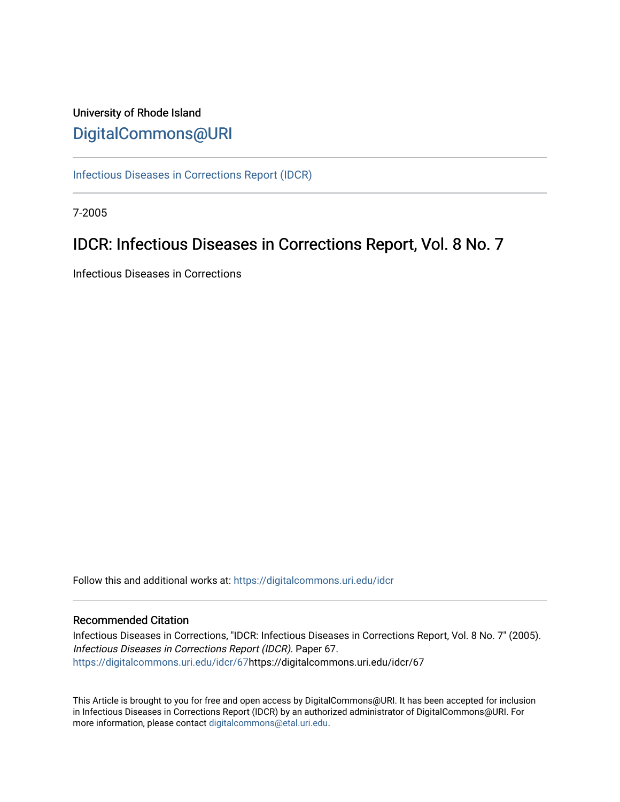## University of Rhode Island [DigitalCommons@URI](https://digitalcommons.uri.edu/)

[Infectious Diseases in Corrections Report \(IDCR\)](https://digitalcommons.uri.edu/idcr)

7-2005

# IDCR: Infectious Diseases in Corrections Report, Vol. 8 No. 7

Infectious Diseases in Corrections

Follow this and additional works at: [https://digitalcommons.uri.edu/idcr](https://digitalcommons.uri.edu/idcr?utm_source=digitalcommons.uri.edu%2Fidcr%2F67&utm_medium=PDF&utm_campaign=PDFCoverPages)

## Recommended Citation

Infectious Diseases in Corrections, "IDCR: Infectious Diseases in Corrections Report, Vol. 8 No. 7" (2005). Infectious Diseases in Corrections Report (IDCR). Paper 67. [https://digitalcommons.uri.edu/idcr/67h](https://digitalcommons.uri.edu/idcr/67?utm_source=digitalcommons.uri.edu%2Fidcr%2F67&utm_medium=PDF&utm_campaign=PDFCoverPages)ttps://digitalcommons.uri.edu/idcr/67

This Article is brought to you for free and open access by DigitalCommons@URI. It has been accepted for inclusion in Infectious Diseases in Corrections Report (IDCR) by an authorized administrator of DigitalCommons@URI. For more information, please contact [digitalcommons@etal.uri.edu.](mailto:digitalcommons@etal.uri.edu)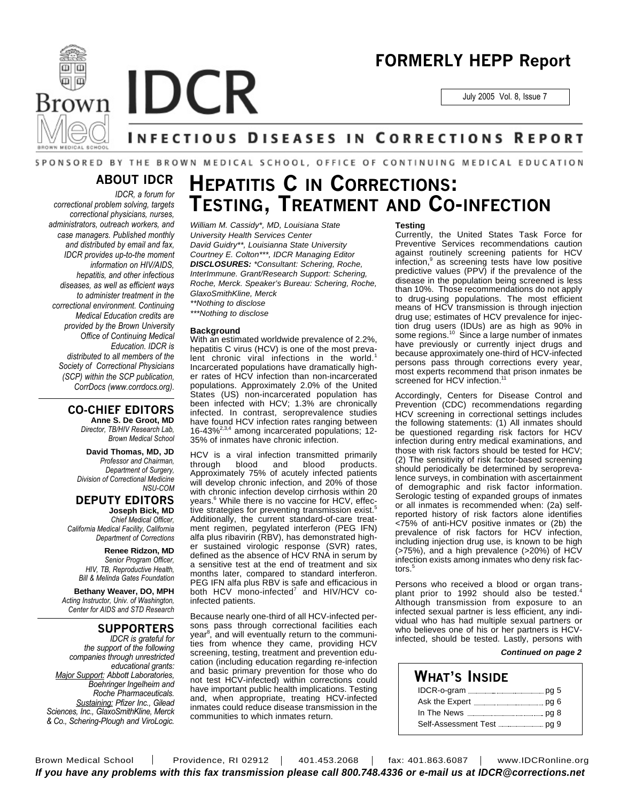





# NFECTIOUS DISEASES IN CORRECTIONS REPORT

## SPONSORED BY THE BROWN MEDICAL SCHOOL, OFFICE OF CONTINUING MEDICAL EDUCATION

## **ABOUT IDCR**

*IDCR, a forum for correctional problem solving, targets correctional physicians, nurses, administrators, outreach workers, and case managers. Published monthly and distributed by email and fax, IDCR provides up-to-the moment information on HIV/AIDS, hepatitis, and other infectious diseases, as well as efficient ways to administer treatment in the correctional environment. Continuing Medical Education credits are provided by the Brown University Office of Continuing Medical Education. IDCR is distributed to all members of the Society of Correctional Physicians (SCP) within the SCP publication, CorrDocs (www.corrdocs.org).*

## **CO-CHIEF EDITORS**

**Anne S. De Groot, MD** *Director, TB/HIV Research Lab, Brown Medical School*

**David Thomas, MD, JD**

*Professor and Chairman, Department of Surgery, Division of Correctional Medicine NSU-COM*

## **DEPUTY EDITORS**

**Joseph Bick, MD** *Chief Medical Officer, California Medical Facility, California Department of Corrections*

> **Renee Ridzon, MD** *Senior Program Officer, HIV, TB, Reproductive Health, Bill & Melinda Gates Foundation*

**Bethany Weaver, DO, MPH** *Acting Instructor, Univ. of Washington, Center for AIDS and STD Research*

## **SUPPORTERS**

*IDCR is grateful for the support of the following companies through unrestricted educational grants: Major Support: Abbott Laboratories, Boehringer Ingelheim and Roche Pharmaceuticals. Sustaining: Pfizer Inc., Gilead Sciences, Inc., GlaxoSmithKline, Merck & Co., Schering-Plough and ViroLogic.*

# **HEPATITIS C IN CORRECTIONS: TESTING, TREATMENT AND CO-INFECTION**

*William M. Cassidy\*, MD, Louisiana State University Health Services Center David Guidry\*\*, Louisianna State University Courtney E. Colton\*\*\*, IDCR Managing Editor DISCLOSURES: \*Consultant: Schering, Roche, InterImmune. Grant/Research Support: Schering, Roche, Merck. Speaker's Bureau: Schering, Roche, GlaxoSmithKline, Merck \*\*Nothing to disclose*

*\*\*\*Nothing to disclose*

#### **Background**

With an estimated worldwide prevalence of 2.2%, hepatitis C virus (HCV) is one of the most prevalent chronic viral infections in the world.<sup>1</sup> Incarcerated populations have dramatically higher rates of HCV infection than non-incarcerated populations. Approximately 2.0% of the United States (US) non-incarcerated population has been infected with HCV; 1.3% are chronically infected. In contrast, seroprevalence studies have found HCV infection rates ranging between 16-43%2,3,4 among incarcerated populations; 12- 35% of inmates have chronic infection.

HCV is a viral infection transmitted primarily<br>through blood and blood products. through blood and blood products. Approximately 75% of acutely infected patients will develop chronic infection, and 20% of those with chronic infection develop cirrhosis within 20 years. <sup>6</sup> While there is no vaccine for HCV, effective strategies for preventing transmission exist. 5 Additionally, the current standard-of-care treatment regimen, pegylated interferon (PEG IFN) alfa plus ribavirin (RBV), has demonstrated higher sustained virologic response (SVR) rates, defined as the absence of HCV RNA in serum by a sensitive test at the end of treatment and six months later, compared to standard interferon. PEG IFN alfa plus RBV is safe and efficacious in both HCV mono-infected<sup>7</sup> and HIV/HCV coinfected patients.

Because nearly one-third of all HCV-infected persons pass through correctional facilities each year<sup>8</sup>, and will eventually return to the communities from whence they came, providing HCV screening, testing, treatment and prevention education (including education regarding re-infection and basic primary prevention for those who do not test HCV-infected) within corrections could have important public health implications. Testing and, when appropriate, treating HCV-infected inmates could reduce disease transmission in the communities to which inmates return.

#### **Testing**

Currently, the United States Task Force for Preventive Services recommendations caution against routinely screening patients for HCV infection, 9 as screening tests have low positive predictive values (PPV) if the prevalence of the disease in the population being screened is less than 10%. Those recommendations do not apply to drug-using populations. The most efficient means of HCV transmission is through injection drug use; estimates of HCV prevalence for injection drug users (IDUs) are as high as 90% in some regions.<sup>10</sup> Since a large number of inmates have previously or currently inject drugs and because approximately one-third of HCV-infected persons pass through corrections every year, most experts recommend that prison inmates be screened for HCV infection.<sup>11</sup>

Accordingly, Centers for Disease Control and Prevention (CDC) recommendations regarding HCV screening in correctional settings includes the following statements: (1) All inmates should be questioned regarding risk factors for HCV infection during entry medical examinations, and those with risk factors should be tested for HCV; (2) The sensitivity of risk factor-based screening should periodically be determined by seroprevalence surveys, in combination with ascertainment of demographic and risk factor information. Serologic testing of expanded groups of inmates or all inmates is recommended when: (2a) selfreported history of risk factors alone identifies <75% of anti-HCV positive inmates or (2b) the prevalence of risk factors for HCV infection, including injection drug use, is known to be high (>75%), and a high prevalence (>20%) of HCV infection exists among inmates who deny risk factors. 5

Persons who received a blood or organ transplant prior to 1992 should also be tested.<sup>4</sup> Although transmission from exposure to an infected sexual partner is less efficient, any individual who has had multiple sexual partners or who believes one of his or her partners is HCVinfected, should be tested. Lastly, persons with

### *Continued on page 2*

## **WHAT'S INSIDE**

Brown Medical School | Providence, RI 02912 | 401.453.2068 | fax: 401.863.6087 | www.IDCRonline.org *If you have any problems with this fax transmission please call 800.748.4336 or e-mail us at IDCR@corrections.net*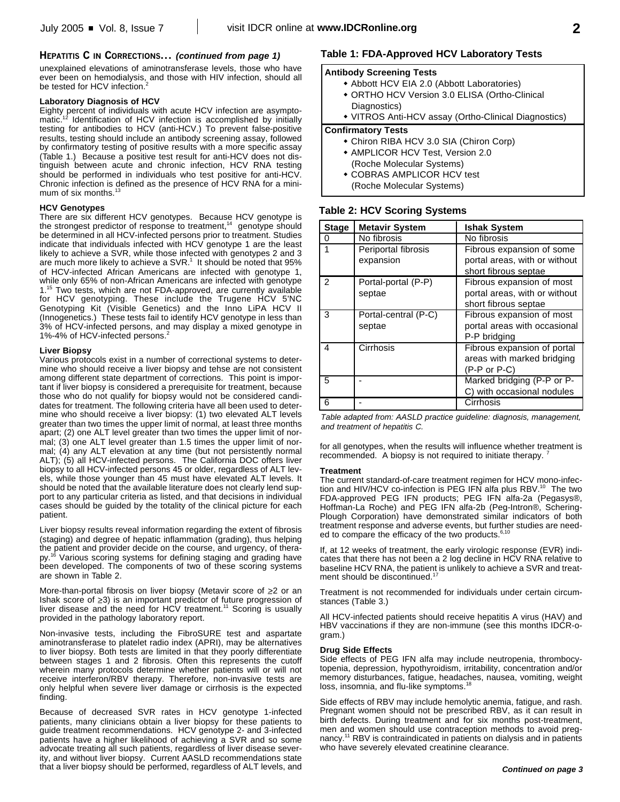## **HEPATITIS C IN CORRECTIONS...** *(continued from page 1)*

unexplained elevations of aminotransferase levels, those who have ever been on hemodialysis, and those with HIV infection, should all be tested for HCV infection.<sup>2</sup>

### **Laboratory Diagnosis of HCV**

Eighty percent of individuals with acute HCV infection are asymptomatic.<sup>12</sup> Identification of HCV infection is accomplished by initially testing for antibodies to HCV (anti-HCV.) To prevent false-positive results, testing should include an antibody screening assay, followed by confirmatory testing of positive results with a more specific assay (Table 1.) Because a positive test result for anti-HCV does not distinguish between acute and chronic infection, HCV RNA testing should be performed in individuals who test positive for anti-HCV. Chronic infection is defined as the presence of HCV RNA for a minimum of six months.<sup>13</sup>

### **HCV Genotypes**

There are six different HCV genotypes. Because HCV genotype is the strongest predictor of response to treatment, 14 genotype should be determined in all HCV-infected persons prior to treatment. Studies indicate that individuals infected with HCV genotype 1 are the least likely to achieve a SVR, while those infected with genotypes 2 and 3 are much more likely to achieve a SVR. 1 It should be noted that 95% of HCV-infected African Americans are infected with genotype 1, while only 65% of non-African Americans are infected with genotype 1.<sup>15</sup> Two tests, which are not FDA-approved, are currently available for HCV genotyping. These include the Trugene HCV 5'NC Genotyping Kit (Visible Genetics) and the Inno LiPA HCV II (Innogenetics.) These tests fail to identify HCV genotype in less than 3% of HCV-infected persons, and may display a mixed genotype in 1%-4% of HCV-infected persons. 2

### **Liver Biopsy**

Various protocols exist in a number of correctional systems to determine who should receive a liver biopsy and tehse are not consistent among different state department of corrections. This point is important if liver biopsy is considered a prerequisite for treatment, because those who do not qualify for biopsy would not be considered candidates for treatment. The following criteria have all been used to determine who should receive a liver biopsy: (1) two elevated ALT levels greater than two times the upper limit of normal, at least three months apart; (2) one ALT level greater than two times the upper limit of normal; (3) one ALT level greater than 1.5 times the upper limit of normal; (4) any ALT elevation at any time (but not persistently normal ALT); (5) all HCV-infected persons. The California DOC offers liver biopsy to all HCV-infected persons 45 or older, regardless of ALT levels, while those younger than 45 must have elevated ALT levels. It should be noted that the available literature does not clearly lend support to any particular criteria as listed, and that decisions in individual cases should be guided by the totality of the clinical picture for each patient.

Liver biopsy results reveal information regarding the extent of fibrosis (staging) and degree of hepatic inflammation (grading), thus helping the patient and provider decide on the course, and urgency, of therapy.<sup>16</sup> Various scoring systems for defining staging and grading have been developed. The components of two of these scoring systems are shown in Table 2.

More-than-portal fibrosis on liver biopsy (Metavir score of ≥2 or an Ishak score of  $\geq$ 3) is an important predictor of future progression of liver disease and the need for HCV treatment. <sup>11</sup> Scoring is usually provided in the pathology laboratory report.

Non-invasive tests, including the FibroSURE test and aspartate aminotransferase to platelet radio index (APRI), may be alternatives to liver biopsy. Both tests are limited in that they poorly differentiate between stages 1 and 2 fibrosis. Often this represents the cutoff wherein many protocols determine whether patients will or will not receive interferon/RBV therapy. Therefore, non-invasive tests are only helpful when severe liver damage or cirrhosis is the expected finding.

Because of decreased SVR rates in HCV genotype 1-infected patients, many clinicians obtain a liver biopsy for these patients to guide treatment recommendations. HCV genotype 2- and 3-infected patients have a higher likelihood of achieving a SVR and so some advocate treating all such patients, regardless of liver disease severity, and without liver biopsy. Current AASLD recommendations state that a liver biopsy should be performed, regardless of ALT levels, and

## **Table 1: FDA-Approved HCV Laboratory Tests**

### **Antibody Screening Tests**

- Abbott HCV EIA 2.0 (Abbott Laboratories)
- ORTHO HCV Version 3.0 ELISA (Ortho-Clinical Diagnostics)
- VITROS Anti-HCV assay (Ortho-Clinical Diagnostics)

### **Confirmatory Tests**

- Chiron RIBA HCV 3.0 SIA (Chiron Corp)
- AMPLICOR HCV Test, Version 2.0 (Roche Molecular Systems)
- **\* COBRAS AMPLICOR HCV test** (Roche Molecular Systems)

### **Table 2: HCV Scoring Systems**

| <b>Stage</b>  | <b>Metavir System</b>            | <b>Ishak System</b>                                                                |
|---------------|----------------------------------|------------------------------------------------------------------------------------|
| 0             | No fibrosis                      | No fibrosis                                                                        |
|               | Periportal fibrosis<br>expansion | Fibrous expansion of some<br>portal areas, with or without<br>short fibrous septae |
| $\mathcal{P}$ | Portal-portal (P-P)<br>septae    | Fibrous expansion of most<br>portal areas, with or without<br>short fibrous septae |
| 3             | Portal-central (P-C)<br>septae   | Fibrous expansion of most<br>portal areas with occasional<br>P-P bridging          |
| 4             | Cirrhosis                        | Fibrous expansion of portal<br>areas with marked bridging<br>$(P-P or P-C)$        |
| 5             |                                  | Marked bridging (P-P or P-<br>C) with occasional nodules                           |
| 6             |                                  | Cirrhosis                                                                          |

*Table adapted from: AASLD practice guideline: diagnosis, management, and treatment of hepatitis C.*

for all genotypes, when the results will influence whether treatment is recommended. A biopsy is not required to initiate therapy. <sup>7</sup>

### **Treatment**

The current standard-of-care treatment regimen for HCV mono-infection and HIV/HCV co-infection is PEG IFN alfa plus RBV.<sup>10</sup> The two FDA-approved PEG IFN products; PEG IFN alfa-2a (Pegasys®, Hoffman-La Roche) and PEG IFN alfa-2b (Peg-Intron®, Schering-Plough Corporation) have demonstrated similar indicators of both treatment response and adverse events, but further studies are needed to compare the efficacy of the two products.<sup>6,10</sup>

If, at 12 weeks of treatment, the early virologic response (EVR) indicates that there has not been a 2 log decline in HCV RNA relative to baseline HCV RNA, the patient is unlikely to achieve a SVR and treat-<br>ment should be discontinued.<sup>17</sup> ment should be discontinued.

Treatment is not recommended for individuals under certain circumstances (Table 3.)

All HCV-infected patients should receive hepatitis A virus (HAV) and HBV vaccinations if they are non-immune (see this months IDCR-ogram.)

### **Drug Side Effects**

Side effects of PEG IFN alfa may include neutropenia, thrombocytopenia, depression, hypothyroidism, irritability, concentration and/or memory disturbances, fatigue, headaches, nausea, vomiting, weight loss, insomnia, and flu-like symptoms.<sup>18</sup>

Side effects of RBV may include hemolytic anemia, fatigue, and rash. Pregnant women should not be prescribed RBV, as it can result in birth defects. During treatment and for six months post-treatment, men and women should use contraception methods to avoid pregnancy. <sup>11</sup> RBV is contraindicated in patients on dialysis and in patients who have severely elevated creatinine clearance.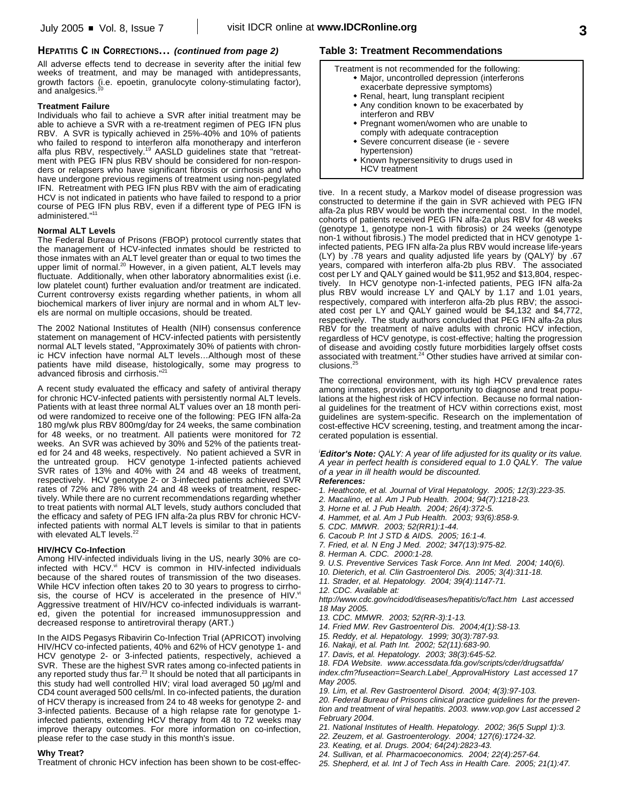### **HEPATITIS C IN CORRECTIONS...** *(continued from page 2)*

All adverse effects tend to decrease in severity after the initial few weeks of treatment, and may be managed with antidepressants, growth factors (i.e. epoetin, granulocyte colony-stimulating factor),<br>and analgosies <sup>10</sup> and analgesics.

### **Treatment Failure**

Individuals who fail to achieve a SVR after initial treatment may be able to achieve a SVR with a re-treatment regimen of PEG IFN plus RBV. A SVR is typically achieved in 25%-40% and 10% of patients who failed to respond to interferon alfa monotherapy and interferon alfa plus RBV, respectively. <sup>19</sup> AASLD guidelines state that "retreatment with PEG IFN plus RBV should be considered for non-responders or relapsers who have significant fibrosis or cirrhosis and who have undergone previous regimens of treatment using non-pegylated IFN. Retreatment with PEG IFN plus RBV with the aim of eradicating HCV is not indicated in patients who have failed to respond to a prior course of PEG IFN plus RBV, even if a different type of PEG IFN is administered." 11

### **Normal ALT Levels**

The Federal Bureau of Prisons (FBOP) protocol currently states that the management of HCV-infected inmates should be restricted to those inmates with an ALT level greater than or equal to two times the upper limit of normal.<sup>20</sup> However, in a given patient, ALT levels may fluctuate. Additionally, when other laboratory abnormalities exist (i.e. low platelet count) further evaluation and/or treatment are indicated. Current controversy exists regarding whether patients, in whom all biochemical markers of liver injury are normal and in whom ALT levels are normal on multiple occasions, should be treated.

The 2002 National Institutes of Health (NIH) consensus conference statement on management of HCV-infected patients with persistently normal ALT levels stated, "Approximately 30% of patients with chronic HCV infection have normal ALT levels…Although most of these patients have mild disease, histologically, some may progress to advanced fibrosis and cirrhosis."<sup>21</sup>

A recent study evaluated the efficacy and safety of antiviral therapy for chronic HCV-infected patients with persistently normal ALT levels. Patients with at least three normal ALT values over an 18 month period were randomized to receive one of the following: PEG IFN alfa-2a 180 mg/wk plus RBV 800mg/day for 24 weeks, the same combination for 48 weeks, or no treatment. All patients were monitored for 72 weeks. An SVR was achieved by 30% and 52% of the patients treated for 24 and 48 weeks, respectively. No patient achieved a SVR in the untreated group. HCV genotype 1-infected patients achieved SVR rates of 13% and 40% with 24 and 48 weeks of treatment, respectively. HCV genotype 2- or 3-infected patients achieved SVR rates of 72% and 78% with 24 and 48 weeks of treatment, respectively. While there are no current recommendations regarding whether to treat patients with normal ALT levels, study authors concluded that the efficacy and safety of PEG IFN alfa-2a plus RBV for chronic HCVinfected patients with normal ALT levels is similar to that in patients with elevated ALT levels.<sup>22</sup>

### **HIV/HCV Co-Infection**

Among HIV-infected individuals living in the US, nearly 30% are coinfected with HCV.<sup>vi</sup> HCV is common in HIV-infected individuals because of the shared routes of transmission of the two diseases. While HCV infection often takes 20 to 30 years to progress to cirrhosis, the course of HCV is accelerated in the presence of HIV.<sup>vi</sup> Aggressive treatment of HIV/HCV co-infected individuals is warranted, given the potential for increased immunosuppression and decreased response to antiretroviral therapy (ART.)

In the AIDS Pegasys Ribavirin Co-Infection Trial (APRICOT) involving HIV/HCV co-infected patients, 40% and 62% of HCV genotype 1- and HCV genotype 2- or 3-infected patients, respectively, achieved a SVR. These are the highest SVR rates among co-infected patients in any reported study thus far.<sup>23</sup> It should be noted that all participants in this study had well controlled HIV; viral load averaged 50 µg/ml and CD4 count averaged 500 cells/ml. In co-infected patients, the duration of HCV therapy is increased from 24 to 48 weeks for genotype 2- and 3-infected patients. Because of a high relapse rate for genotype 1 infected patients, extending HCV therapy from 48 to 72 weeks may improve therapy outcomes. For more information on co-infection, please refer to the case study in this month's issue.

#### **Why Treat?**

Treatment of chronic HCV infection has been shown to be cost-effec-

### **Table 3: Treatment Recommendations**

- Treatment is not recommended for the following: • Major, uncontrolled depression (interferons
	- exacerbate depressive symptoms)
	- Renal, heart, lung transplant recipient • Any condition known to be exacerbated by interferon and RBV
	- Pregnant women/women who are unable to comply with adequate contraception
	- \* Severe concurrent disease (ie severe hypertension)
	- Known hypersensitivity to drugs used in HCV treatment

tive. In a recent study, a Markov model of disease progression was constructed to determine if the gain in SVR achieved with PEG IFN alfa-2a plus RBV would be worth the incremental cost. In the model, cohorts of patients received PEG IFN alfa-2a plus RBV for 48 weeks (genotype 1, genotype non-1 with fibrosis) or 24 weeks (genotype non-1 without fibrosis.) The model predicted that in HCV genotype 1 infected patients, PEG IFN alfa-2a plus RBV would increase life-years (LY) by 78 years and quality adjusted life years by (QALY) by .67 years, compared with interferon alfa-2b plus RBV. The associated cost per LY and QALY gained would be \$11,952 and \$13,804, respectively. In HCV genotype non-1-infected patients, PEG IFN alfa-2a plus RBV would increase LY and QALY by 1.17 and 1.01 years, respectively, compared with interferon alfa-2b plus RBV; the associated cost per LY and QALY gained would be \$4,132 and \$4,772, respectively. The study authors concluded that PEG IFN alfa-2a plus RBV for the treatment of naïve adults with chronic HCV infection, regardless of HCV genotype, is cost-effective; halting the progression of disease and avoiding costly future morbidities largely offset costs associated with treatment. <sup>24</sup> Other studies have arrived at similar conclusions. 25

The correctional environment, with its high HCV prevalence rates among inmates, provides an opportunity to diagnose and treat populations at the highest risk of HCV infection. Because no formal national guidelines for the treatment of HCV within corrections exist, most guidelines are system-specific. Research on the implementation of cost-effective HCV screening, testing, and treatment among the incarcerated population is essential.

*<sup>i</sup>Editor's Note: QALY: A year of life adjusted for its quality or its value. A year in perfect health is considered equal to 1.0 QALY. The value of a year in ill health would be discounted.*

*References:*

- *1. Heathcote, et al. Journal of Viral Hepatology. 2005; 12(3):223-35.*
- *2. Macalino, et al. Am J Pub Health. 2004; 94(7):1218-23.*
- *3. Horne et al. J Pub Health. 2004; 26(4):372-5.*
- *4. Hammet, et al. Am J Pub Health. 2003; 93(6):858-9.*
- *5. CDC. MMWR. 2003; 52(RR1):1-44.*
- *6. Cacoub P. Int J STD & AIDS. 2005; 16:1-4.*
- *7. Fried, et al. N Eng J Med. 2002; 347(13):975-82.*
- *8. Herman A. CDC. 2000:1-28.*
- *9. U.S. Preventive Services Task Force. Ann Int Med. 2004; 140(6).*
- *10. Dieterich, et al. Clin Gastroenterol Dis. 2005; 3(4):311-18.*
- *11. Strader, et al. Hepatology. 2004; 39(4):1147-71.*
- *12. CDC. Available at:*

*http://www.cdc.gov/ncidod/diseases/hepatitis/c/fact.htm Last accessed 18 May 2005.*

- *13. CDC. MMWR. 2003; 52(RR-3):1-13.*
- *14. Fried MW. Rev Gastroenterol Dis. 2004;4(1):S8-13.*
- *15. Reddy, et al. Hepatology. 1999; 30(3):787-93.*
- *16. Nakaji, et al. Path Int. 2002; 52(11):683-90.*

*17. Davis, et al. Hepatology. 2003; 38(3):645-52.*

*18. FDA Website. www.accessdata.fda.gov/scripts/cder/drugsatfda/*

*index.cfm?fuseaction=Search.Label\_ApprovalHistory Last accessed 17 May 2005.*

*19. Lim, et al. Rev Gastroenterol Disord. 2004; 4(3):97-103.*

*20. Federal Bureau of Prisons clinical practice guidelines for the prevention and treatment of viral hepatitis. 2003. www.vop.gov Last accessed 2 February 2004.*

*21. National Institutes of Health. Hepatology. 2002; 36(5 Suppl 1):3.*

- *22. Zeuzem, et al. Gastroenterology. 2004; 127(6):1724-32.*
- *23. Keating, et al. Drugs. 2004; 64(24):2823-43.*

*24. Sullivan, et al. Pharmacoeconomics. 2004; 22(4):257-64.*

*25. Shepherd, et al. Int J of Tech Ass in Health Care. 2005; 21(1):47.*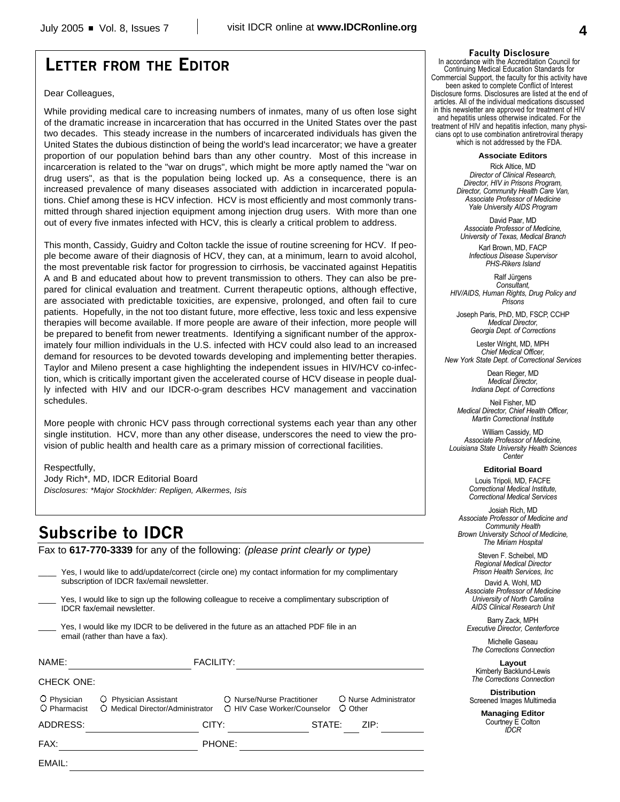## **LETTER FROM THE EDITOR**

### Dear Colleagues,

While providing medical care to increasing numbers of inmates, many of us often lose sight of the dramatic increase in incarceration that has occurred in the United States over the past two decades. This steady increase in the numbers of incarcerated individuals has given the United States the dubious distinction of being the world's lead incarcerator; we have a greater proportion of our population behind bars than any other country. Most of this increase in incarceration is related to the "war on drugs", which might be more aptly named the "war on drug users", as that is the population being locked up. As a consequence, there is an increased prevalence of many diseases associated with addiction in incarcerated populations. Chief among these is HCV infection. HCV is most efficiently and most commonly transmitted through shared injection equipment among injection drug users. With more than one out of every five inmates infected with HCV, this is clearly a critical problem to address.

This month, Cassidy, Guidry and Colton tackle the issue of routine screening for HCV. If people become aware of their diagnosis of HCV, they can, at a minimum, learn to avoid alcohol, the most preventable risk factor for progression to cirrhosis, be vaccinated against Hepatitis A and B and educated about how to prevent transmission to others. They can also be prepared for clinical evaluation and treatment. Current therapeutic options, although effective, are associated with predictable toxicities, are expensive, prolonged, and often fail to cure patients. Hopefully, in the not too distant future, more effective, less toxic and less expensive therapies will become available. If more people are aware of their infection, more people will be prepared to benefit from newer treatments. Identifying a significant number of the approximately four million individuals in the U.S. infected with HCV could also lead to an increased demand for resources to be devoted towards developing and implementing better therapies. Taylor and Mileno present a case highlighting the independent issues in HIV/HCV co-infection, which is critically important given the accelerated course of HCV disease in people dually infected with HIV and our IDCR-o-gram describes HCV management and vaccination schedules.

More people with chronic HCV pass through correctional systems each year than any other single institution. HCV, more than any other disease, underscores the need to view the provision of public health and health care as a primary mission of correctional facilities.

### Respectfully,

Jody Rich\*, MD, IDCR Editorial Board *Disclosures: \*Major Stockhlder: Repligen, Alkermes, Isis*

## **Subscribe to IDCR**

Fax to **617-770-3339** for any of the following: *(please print clearly or type)*

| Yes, I would like to add/update/correct (circle one) my contact information for my complimentary<br>subscription of IDCR fax/email newsletter. |                  |                                                                                               |  |
|------------------------------------------------------------------------------------------------------------------------------------------------|------------------|-----------------------------------------------------------------------------------------------|--|
| Yes, I would like to sign up the following colleague to receive a complimentary subscription of<br><b>IDCR</b> fax/email newsletter.           |                  |                                                                                               |  |
| email (rather than have a fax).                                                                                                                |                  | Yes, I would like my IDCR to be delivered in the future as an attached PDF file in an         |  |
| NAME:                                                                                                                                          | <b>FACILITY:</b> |                                                                                               |  |
| <b>CHECK ONE:</b>                                                                                                                              |                  |                                                                                               |  |
| $\circ$ Physician<br>O Physician Assistant<br>O Pharmacist<br>O Medical Director/Administrator                                                 |                  | ○ Nurse/Nurse Practitioner<br>O Nurse Administrator<br>O Other<br>O HIV Case Worker/Counselor |  |
| ADDRESS:                                                                                                                                       | CITY:            | ZIP:<br>STATE:                                                                                |  |
| FAX:                                                                                                                                           |                  | PHONE:                                                                                        |  |
|                                                                                                                                                |                  |                                                                                               |  |

#### **Faculty Disclosure**

In accordance with the Accreditation Council for Continuing Medical Education Standards for Commercial Support, the faculty for this activity have been asked to complete Conflict of Interest Disclosure forms. Disclosures are listed at the end of articles. All of the individual medications discussed in this newsletter are approved for treatment of HIV and hepatitis unless otherwise indicated. For the treatment of HIV and hepatitis infection, many physicians opt to use combination antiretroviral therapy which is not addressed by the FDA.

**Associate Editors**

Rick Altice, MD *Director of Clinical Research, Director, HIV in Prisons Program, Director, Community Health Care Van, Associate Professor of Medicine Yale University AIDS Program*

David Paar, MD *Associate Professor of Medicine, University of Texas, Medical Branch*

Karl Brown, MD, FACP *Infectious Disease Supervisor PHS-Rikers Island*

Ralf Jürgens *Consultant, HIV/AIDS, Human Rights, Drug Policy and Prisons*

Joseph Paris, PhD, MD, FSCP, CCHP *Medical Director, Georgia Dept. of Corrections*

Lester Wright, MD, MPH *Chief Medical Officer, New York State Dept. of Correctional Services*

> Dean Rieger, MD *Medical Director, Indiana Dept. of Corrections*

Neil Fisher, MD *Medical Director, Chief Health Officer, Martin Correctional Institute*

William Cassidy, MD *Associate Professor of Medicine, Louisiana State University Health Sciences Center*

**Editorial Board**

Louis Tripoli, MD, FACFE *Correctional Medical Institute, Correctional Medical Services*

Josiah Rich, MD *Associate Professor of Medicine and Community Health Brown University School of Medicine, The Miriam Hospital*

> Steven F. Scheibel, MD *Regional Medical Director Prison Health Services, Inc*

David A. Wohl, MD *Associate Professor of Medicine University of North Carolina AIDS Clinical Research Unit*

Barry Zack, MPH *Executive Director, Centerforce*

Michelle Gaseau *The Corrections Connection*

**Layout** Kimberly Backlund-Lewis *The Corrections Connection*

**Distribution** Screened Images Multimedia

> **Managing Editor** Courtney E Colton *IDCR*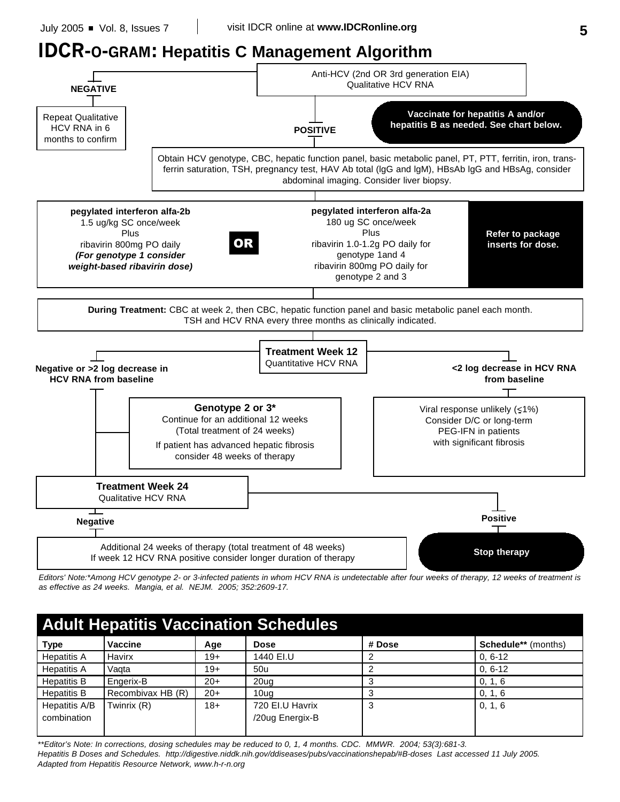# **IDCR-O-GRAM: Hepatitis C Management Algorithm**



*Editors' Note:\*Among HCV genotype 2- or 3-infected patients in whom HCV RNA is undetectable after four weeks of therapy, 12 weeks of treatment is as effective as 24 weeks. Mangia, et al. NEJM. 2005; 352:2609-17.*

| <b>Adult Hepatitis Vaccination Schedules</b> |                   |       |                 |        |                            |
|----------------------------------------------|-------------------|-------|-----------------|--------|----------------------------|
| <b>Type</b>                                  | <b>Vaccine</b>    | Age   | <b>Dose</b>     | # Dose | <b>Schedule**</b> (months) |
| <b>Hepatitis A</b>                           | Havirx            | $19+$ | 1440 EI.U       |        | $0.6 - 12$                 |
| <b>Hepatitis A</b>                           | Vagta             | $19+$ | 50u             |        | $0.6 - 12$                 |
| <b>Hepatitis B</b>                           | Engerix-B         | $20+$ | 20ua            |        | 0, 1, 6                    |
| <b>Hepatitis B</b>                           | Recombivax HB (R) | $20+$ | 10ua            |        | 0, 1, 6                    |
| Hepatitis A/B                                | Twinrix (R)       | $18+$ | 720 EI.U Havrix | 3      | 0, 1, 6                    |
| combination                                  |                   |       | /20ug Energix-B |        |                            |
|                                              |                   |       |                 |        |                            |

*\*\*Editor's Note: In corrections, dosing schedules may be reduced to 0, 1, 4 months. CDC. MMWR. 2004; 53(3):681-3. Hepatitis B Doses and Schedules. http://digestive.niddk.nih.gov/ddiseases/pubs/vaccinationshepab/#B-doses Last accessed 11 July 2005. Adapted from Hepatitis Resource Network, www.h-r-n.org*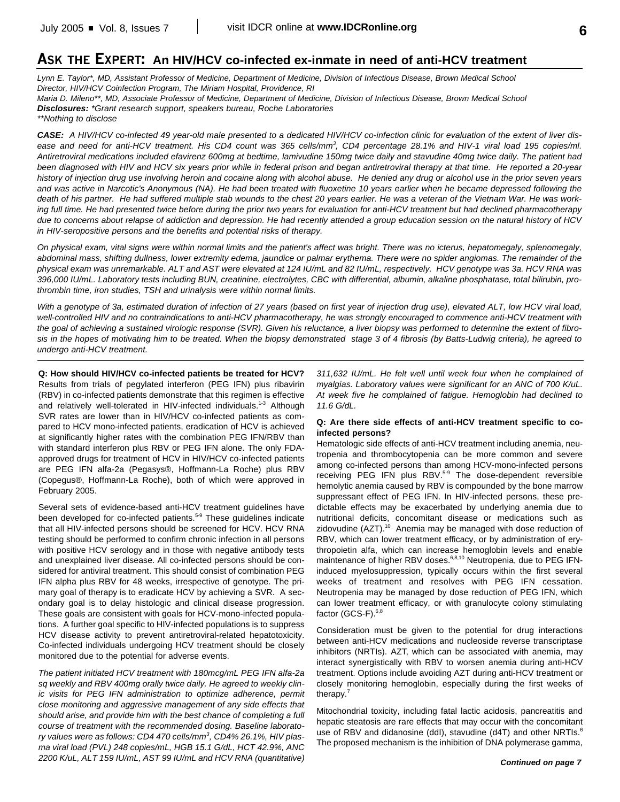## **ASK THE EXPERT: An HIV/HCV co-infected ex-inmate in need of anti-HCV treatment**

*Lynn E. Taylor\*, MD, Assistant Professor of Medicine, Department of Medicine, Division of Infectious Disease, Brown Medical School Director, HIV/HCV Coinfection Program, The Miriam Hospital, Providence, RI Maria D. Mileno\*\*, MD, Associate Professor of Medicine, Department of Medicine, Division of Infectious Disease, Brown Medical School Disclosures: \*Grant research support, speakers bureau, Roche Laboratories \*\*Nothing to disclose*

*CASE: A HIV/HCV co-infected 49 year-old male presented to a dedicated HIV/HCV co-infection clinic for evaluation of the extent of liver dis*ease and need for anti-HCV treatment. His CD4 count was 365 cells/mm<sup>3</sup>, CD4 percentage 28.1% and HIV-1 viral load 195 copies/ml. *Antiretroviral medications included efavirenz 600mg at bedtime, lamivudine 150mg twice daily and stavudine 40mg twice daily. The patient had been diagnosed with HIV and HCV six years prior while in federal prison and began antiretroviral therapy at that time. He reported a 20-year history of injection drug use involving heroin and cocaine along with alcohol abuse. He denied any drug or alcohol use in the prior seven years and was active in Narcotic's Anonymous (NA). He had been treated with fluoxetine 10 years earlier when he became depressed following the death of his partner. He had suffered multiple stab wounds to the chest 20 years earlier. He was a veteran of the Vietnam War. He was working full time. He had presented twice before during the prior two years for evaluation for anti-HCV treatment but had declined pharmacotherapy due to concerns about relapse of addiction and depression. He had recently attended a group education session on the natural history of HCV in HIV-seropositive persons and the benefits and potential risks of therapy.*

*On physical exam, vital signs were within normal limits and the patient's affect was bright. There was no icterus, hepatomegaly, splenomegaly, abdominal mass, shifting dullness, lower extremity edema, jaundice or palmar erythema. There were no spider angiomas. The remainder of the physical exam was unremarkable. ALT and AST were elevated at 124 IU/mL and 82 IU/mL, respectively. HCV genotype was 3a. HCV RNA was 396,000 IU/mL. Laboratory tests including BUN, creatinine, electrolytes, CBC with differential, albumin, alkaline phosphatase, total bilirubin, prothrombin time, iron studies, TSH and urinalysis were within normal limits.* 

*With a genotype of 3a, estimated duration of infection of 27 years (based on first year of injection drug use), elevated ALT, low HCV viral load, well-controlled HIV and no contraindications to anti-HCV pharmacotherapy, he was strongly encouraged to commence anti-HCV treatment with the goal of achieving a sustained virologic response (SVR). Given his reluctance, a liver biopsy was performed to determine the extent of fibrosis in the hopes of motivating him to be treated. When the biopsy demonstrated stage 3 of 4 fibrosis (by Batts-Ludwig criteria), he agreed to undergo anti-HCV treatment.*

**Q: How should HIV/HCV co-infected patients be treated for HCV?** Results from trials of pegylated interferon (PEG IFN) plus ribavirin (RBV) in co-infected patients demonstrate that this regimen is effective and relatively well-tolerated in HIV-infected individuals.<sup>1-3</sup> Although SVR rates are lower than in HIV/HCV co-infected patients as compared to HCV mono-infected patients, eradication of HCV is achieved at significantly higher rates with the combination PEG IFN/RBV than with standard interferon plus RBV or PEG IFN alone. The only FDAapproved drugs for treatment of HCV in HIV/HCV co-infected patients are PEG IFN alfa-2a (Pegasys®, Hoffmann-La Roche) plus RBV (Copegus®, Hoffmann-La Roche), both of which were approved in February 2005.

Several sets of evidence-based anti-HCV treatment guidelines have been developed for co-infected patients.<sup>5-9</sup> These guidelines indicate that all HIV-infected persons should be screened for HCV. HCV RNA testing should be performed to confirm chronic infection in all persons with positive HCV serology and in those with negative antibody tests and unexplained liver disease. All co-infected persons should be considered for antiviral treatment. This should consist of combination PEG IFN alpha plus RBV for 48 weeks, irrespective of genotype. The primary goal of therapy is to eradicate HCV by achieving a SVR. A secondary goal is to delay histologic and clinical disease progression. These goals are consistent with goals for HCV-mono-infected populations. A further goal specific to HIV-infected populations is to suppress HCV disease activity to prevent antiretroviral-related hepatotoxicity. Co-infected individuals undergoing HCV treatment should be closely monitored due to the potential for adverse events.

*The patient initiated HCV treatment with 180mcg/mL PEG IFN alfa-2a sq weekly and RBV 400mg orally twice daily. He agreed to weekly clinic visits for PEG IFN administration to optimize adherence, permit close monitoring and aggressive management of any side effects that should arise, and provide him with the best chance of completing a full course of treatment with the recommended dosing. Baseline laboratory values were as follows: CD4 470 cells/mm 3 , CD4% 26.1%, HIV plasma viral load (PVL) 248 copies/mL, HGB 15.1 G/dL, HCT 42.9%, ANC 2200 K/uL, ALT 159 IU/mL, AST 99 IU/mL and HCV RNA (quantitative)*

*311,632 IU/mL. He felt well until week four when he complained of myalgias. Laboratory values were significant for an ANC of 700 K/uL. At week five he complained of fatigue. Hemoglobin had declined to 11.6 G/dL.*

### **Q: Are there side effects of anti-HCV treatment specific to coinfected persons?**

Hematologic side effects of anti-HCV treatment including anemia, neutropenia and thrombocytopenia can be more common and severe among co-infected persons than among HCV-mono-infected persons receiving PEG IFN plus RBV.<sup>5-9</sup> The dose-dependent reversible hemolytic anemia caused by RBV is compounded by the bone marrow suppressant effect of PEG IFN. In HIV-infected persons, these predictable effects may be exacerbated by underlying anemia due to nutritional deficits, concomitant disease or medications such as zidovudine (AZT).<sup>10</sup> Anemia may be managed with dose reduction of RBV, which can lower treatment efficacy, or by administration of erythropoietin alfa, which can increase hemoglobin levels and enable maintenance of higher RBV doses.<sup>6,8,10</sup> Neutropenia, due to PEG IFNinduced myelosuppression, typically occurs within the first several weeks of treatment and resolves with PEG IFN cessation. Neutropenia may be managed by dose reduction of PEG IFN, which can lower treatment efficacy, or with granulocyte colony stimulating factor (GCS-F).<sup>6,8</sup>

Consideration must be given to the potential for drug interactions between anti-HCV medications and nucleoside reverse transcriptase inhibitors (NRTIs). AZT, which can be associated with anemia, may interact synergistically with RBV to worsen anemia during anti-HCV treatment. Options include avoiding AZT during anti-HCV treatment or closely monitoring hemoglobin, especially during the first weeks of therapy.<sup>7</sup>

Mitochondrial toxicity, including fatal lactic acidosis, pancreatitis and hepatic steatosis are rare effects that may occur with the concomitant use of RBV and didanosine (ddl), stavudine (d4T) and other NRTIs. $^{6}$ The proposed mechanism is the inhibition of DNA polymerase gamma,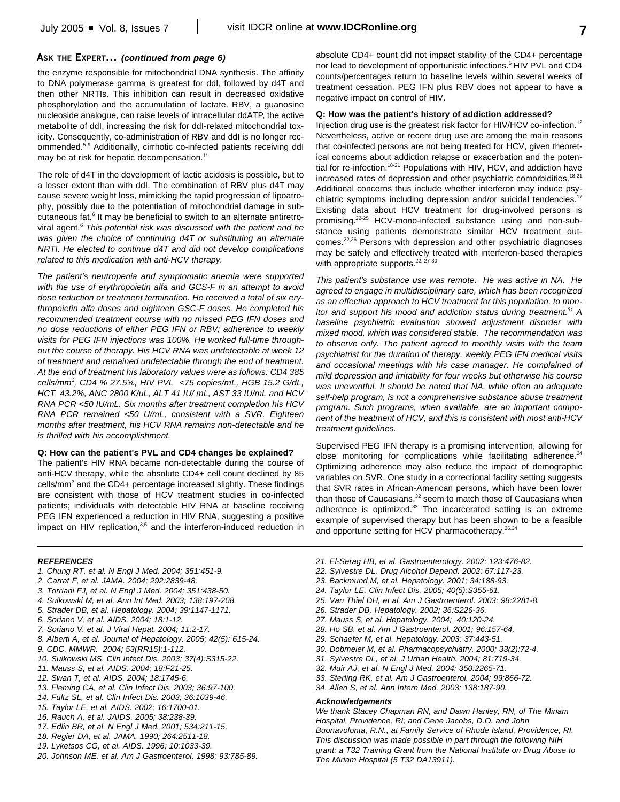### **ASK THE EXPERT...** *(continued from page 6)*

the enzyme responsible for mitochondrial DNA synthesis. The affinity to DNA polymerase gamma is greatest for ddI, followed by d4T and then other NRTIs. This inhibition can result in decreased oxidative phosphorylation and the accumulation of lactate. RBV, a guanosine nucleoside analogue, can raise levels of intracellular ddATP, the active metabolite of ddI, increasing the risk for ddI-related mitochondrial toxicity. Consequently, co-administration of RBV and ddI is no longer recommended. 5-9 Additionally, cirrhotic co-infected patients receiving ddI may be at risk for hepatic decompensation.<sup>11</sup>

The role of d4T in the development of lactic acidosis is possible, but to a lesser extent than with ddI. The combination of RBV plus d4T may cause severe weight loss, mimicking the rapid progression of lipoatrophy, possibly due to the potentiation of mitochondrial damage in subcutaneous fat.<sup>6</sup> It may be beneficial to switch to an alternate antiretroviral agent. <sup>6</sup> *This potential risk was discussed with the patient and he was given the choice of continuing d4T or substituting an alternate NRTI. He elected to continue d4T and did not develop complications related to this medication with anti-HCV therapy.*

*The patient's neutropenia and symptomatic anemia were supported with the use of erythropoietin alfa and GCS-F in an attempt to avoid dose reduction or treatment termination. He received a total of six erythropoietin alfa doses and eighteen GSC-F doses. He completed his recommended treatment course with no missed PEG IFN doses and no dose reductions of either PEG IFN or RBV; adherence to weekly visits for PEG IFN injections was 100%. He worked full-time throughout the course of therapy. His HCV RNA was undetectable at week 12 of treatment and remained undetectable through the end of treatment. At the end of treatment his laboratory values were as follows: CD4 385 cells/mm 3 , CD4 % 27.5%, HIV PVL <75 copies/mL, HGB 15.2 G/dL, HCT 43.2%, ANC 2800 K/uL, ALT 41 IU/ mL, AST 33 IU/mL and HCV RNA PCR <50 IU/mL. Six months after treatment completion his HCV RNA PCR remained <50 U/mL, consistent with a SVR. Eighteen months after treatment, his HCV RNA remains non-detectable and he is thrilled with his accomplishment.*

#### **Q: How can the patient's PVL and CD4 changes be explained?**

The patient's HIV RNA became non-detectable during the course of anti-HCV therapy, while the absolute CD4+ cell count declined by 85 cells/mm<sup>3</sup> and the CD4+ percentage increased slightly. These findings are consistent with those of HCV treatment studies in co-infected patients; individuals with detectable HIV RNA at baseline receiving PEG IFN experienced a reduction in HIV RNA, suggesting a positive impact on HIV replication,<sup>3,5</sup> and the interferon-induced reduction in

absolute CD4+ count did not impact stability of the CD4+ percentage nor lead to development of opportunistic infections. <sup>5</sup> HIV PVL and CD4 counts/percentages return to baseline levels within several weeks of treatment cessation. PEG IFN plus RBV does not appear to have a negative impact on control of HIV.

### **Q: How was the patient's history of addiction addressed?**

Injection drug use is the greatest risk factor for HIV/HCV co-infection.<sup>12</sup> Nevertheless, active or recent drug use are among the main reasons that co-infected persons are not being treated for HCV, given theoretical concerns about addiction relapse or exacerbation and the potential for re-infection.<sup>18-21</sup> Populations with HIV, HCV, and addiction have increased rates of depression and other psychiatric comorbidities.<sup>18-21</sup> Additional concerns thus include whether interferon may induce psychiatric symptoms including depression and/or suicidal tendencies.<sup>17</sup> Existing data about HCV treatment for drug-involved persons is promising.<sup>22-25</sup> HCV-mono-infected substance using and non-substance using patients demonstrate similar HCV treatment outcomes.<sup>22,26</sup> Persons with depression and other psychiatric diagnoses may be safely and effectively treated with interferon-based therapies with appropriate supports.<sup>22, 27-30</sup>

*This patient's substance use was remote. He was active in NA. He agreed to engage in multidisciplinary care, which has been recognized as an effective approach to HCV treatment for this population, to monitor and support his mood and addiction status during treatment. <sup>31</sup> A baseline psychiatric evaluation showed adjustment disorder with mixed mood, which was considered stable. The recommendation was to observe only. The patient agreed to monthly visits with the team psychiatrist for the duration of therapy, weekly PEG IFN medical visits and occasional meetings with his case manager. He complained of mild depression and irritability for four weeks but otherwise his course was uneventful. It should be noted that NA, while often an adequate self-help program, is not a comprehensive substance abuse treatment program. Such programs, when available, are an important component of the treatment of HCV, and this is consistent with most anti-HCV treatment guidelines.*

Supervised PEG IFN therapy is a promising intervention, allowing for close monitoring for complications while facilitating adherence.<sup>24</sup> Optimizing adherence may also reduce the impact of demographic variables on SVR. One study in a correctional facility setting suggests that SVR rates in African-American persons, which have been lower than those of Caucasians,<sup>32</sup> seem to match those of Caucasians when adherence is optimized.<sup>33</sup> The incarcerated setting is an extreme example of supervised therapy but has been shown to be a feasible and opportune setting for HCV pharmacotherapy.<sup>26,34</sup>

#### *REFERENCES*

- *1. Chung RT, et al. N Engl J Med. 2004; 351:451-9.*
- *2. Carrat F, et al. JAMA. 2004; 292:2839-48.*
- *3. Torriani FJ, et al. N Engl J Med. 2004; 351:438-50.*
- *4. Sulkowski M, et al. Ann Int Med. 2003; 138:197-208.*
- *5. Strader DB, et al. Hepatology. 2004; 39:1147-1171.*
- *6. Soriano V, et al. AIDS. 2004; 18:1-12.*
- *7. Soriano V, et al. J Viral Hepat. 2004; 11:2-17.*
- *8. Alberti A, et al. Journal of Hepatology. 2005; 42(5): 615-24.*
- *9. CDC. MMWR. 2004; 53(RR15):1-112.*
- *10. Sulkowski MS. Clin Infect Dis. 2003; 37(4):S315-22.*
- *11. Mauss S, et al. AIDS. 2004; 18:F21-25.*
- *12. Swan T, et al. AIDS. 2004; 18:1745-6.*
- *13. Fleming CA, et al. Clin Infect Dis. 2003; 36:97-100.*
- *14. Fultz SL, et al. Clin Infect Dis. 2003; 36:1039-46.*
- *15. Taylor LE, et al. AIDS. 2002; 16:1700-01.*
- *16. Rauch A, et al. JAIDS. 2005; 38:238-39.*
- *17. Edlin BR, et al. N Engl J Med. 2001; 534:211-15.*
- *18. Regier DA, et al. JAMA. 1990; 264:2511-18.*
- *19. Lyketsos CG, et al. AIDS. 1996; 10:1033-39.*
- *20. Johnson ME, et al. Am J Gastroenterol. 1998; 93:785-89.*
- *21. El-Serag HB, et al. Gastroenterology. 2002; 123:476-82.*
- *22. Sylvestre DL. Drug Alcohol Depend. 2002; 67:117-23.*
- *23. Backmund M, et al. Hepatology. 2001; 34:188-93.*
- *24. Taylor LE. Clin Infect Dis. 2005; 40(5):S355-61.*
- *25. Van Thiel DH, et al. Am J Gastroenterol. 2003; 98:2281-8.*
- *26. Strader DB. Hepatology. 2002; 36:S226-36.*
- *27. Mauss S, et al. Hepatology. 2004; 40:120-24.*
- *28. Ho SB, et al. Am J Gastroenterol. 2001; 96:157-64.*
- *29. Schaefer M, et al. Hepatology. 2003; 37:443-51.*
- *30. Dobmeier M, et al. Pharmacopsychiatry. 2000; 33(2):72-4.*
- *31. Sylvestre DL, et al. J Urban Health. 2004; 81:719-34.*
- *32. Muir AJ, et al. N Engl J Med. 2004; 350:2265-71.*
- *33. Sterling RK, et al. Am J Gastroenterol. 2004; 99:866-72.*
- *34. Allen S, et al. Ann Intern Med. 2003; 138:187-90.*

#### *Acknowledgements*

*We thank Stacey Chapman RN, and Dawn Hanley, RN, of The Miriam Hospital, Providence, RI; and Gene Jacobs, D.O. and John Buonavolonta, R.N., at Family Service of Rhode Island, Providence, RI. This discussion was made possible in part through the following NIH grant: a T32 Training Grant from the National Institute on Drug Abuse to The Miriam Hospital (5 T32 DA13911).*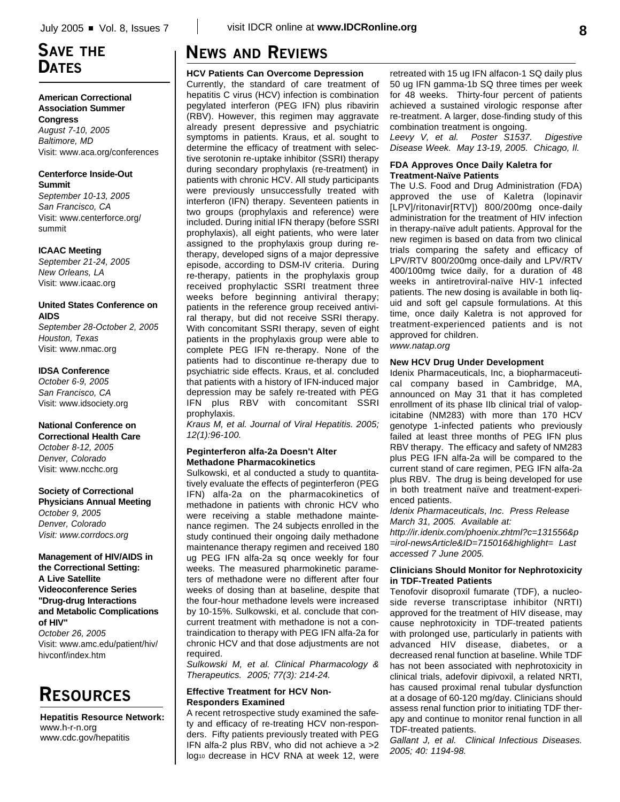## **SAVE THE DATES**

### **American Correctional Association Summer Congress**

*August 7-10, 2005 Baltimore, MD* Visit: www.aca.org/conferences

### **Centerforce Inside-Out Summit**

*September 10-13, 2005 San Francisco, CA* Visit: www.centerforce.org/ summit

## **ICAAC Meeting**

*September 21-24, 2005 New Orleans, LA* Visit: www.icaac.org

## **United States Conference on AIDS**

*September 28-October 2, 2005 Houston, Texas* Visit: www.nmac.org

## **IDSA Conference**

*October 6-9, 2005 San Francisco, CA* Visit: www.idsociety.org

## **National Conference on**

**Correctional Health Care** *October 8-12, 2005 Denver, Colorado* Visit: www.ncchc.org

## **Society of Correctional**

**Physicians Annual Meeting** *October 9, 2005 Denver, Colorado Visit: www.corrdocs.org*

### **Management of HIV/AIDS in the Correctional Setting: A Live Satellite Videoconference Series "Drug-drug Interactions and Metabolic Complications of HIV"** *October 26, 2005* Visit: www.amc.edu/patient/hiv/ hivconf/index.htm

# **RESOURCES**

**Hepatitis Resource Network:** www.h-r-n.org www.cdc.gov/hepatitis

# **NEWS AND REVIEWS**

**HCV Patients Can Overcome Depression**

Currently, the standard of care treatment of hepatitis C virus (HCV) infection is combination pegylated interferon (PEG IFN) plus ribavirin (RBV). However, this regimen may aggravate already present depressive and psychiatric symptoms in patients. Kraus, et al. sought to determine the efficacy of treatment with selective serotonin re-uptake inhibitor (SSRI) therapy during secondary prophylaxis (re-treatment) in patients with chronic HCV. All study participants were previously unsuccessfully treated with interferon (IFN) therapy. Seventeen patients in two groups (prophylaxis and reference) were included. During initial IFN therapy (before SSRI prophylaxis), all eight patients, who were later assigned to the prophylaxis group during retherapy, developed signs of a major depressive episode, according to DSM-IV criteria. During re-therapy, patients in the prophylaxis group received prophylactic SSRI treatment three weeks before beginning antiviral therapy; patients in the reference group received antiviral therapy, but did not receive SSRI therapy. With concomitant SSRI therapy, seven of eight patients in the prophylaxis group were able to complete PEG IFN re-therapy. None of the patients had to discontinue re-therapy due to psychiatric side effects. Kraus, et al. concluded that patients with a history of IFN-induced major depression may be safely re-treated with PEG IFN plus RBV with concomitant SSRI prophylaxis.

*Kraus M, et al. Journal of Viral Hepatitis. 2005; 12(1):96-100.*

## **Peginterferon alfa-2a Doesn't Alter Methadone Pharmacokinetics**

Sulkowski, et al conducted a study to quantitatively evaluate the effects of peginterferon (PEG IFN) alfa-2a on the pharmacokinetics of methadone in patients with chronic HCV who were receiving a stable methadone maintenance regimen. The 24 subjects enrolled in the study continued their ongoing daily methadone maintenance therapy regimen and received 180 ug PEG IFN alfa-2a sq once weekly for four weeks. The measured pharmokinetic parameters of methadone were no different after four weeks of dosing than at baseline, despite that the four-hour methadone levels were increased by 10-15%. Sulkowski, et al. conclude that concurrent treatment with methadone is not a contraindication to therapy with PEG IFN alfa-2a for chronic HCV and that dose adjustments are not required.

*Sulkowski M, et al. Clinical Pharmacology & Therapeutics. 2005; 77(3): 214-24.*

## **Effective Treatment for HCV Non-Responders Examined**

A recent retrospective study examined the safety and efficacy of re-treating HCV non-responders. Fifty patients previously treated with PEG IFN alfa-2 plus RBV, who did not achieve a >2 log<sup>10</sup> decrease in HCV RNA at week 12, were

retreated with 15 ug IFN alfacon-1 SQ daily plus 50 ug IFN gamma-1b SQ three times per week for 48 weeks. Thirty-four percent of patients achieved a sustained virologic response after re-treatment. A larger, dose-finding study of this combination treatment is ongoing.

*Leevy V, et al. Poster S1537. Digestive Disease Week. May 13-19, 2005. Chicago, Il.*

### **FDA Approves Once Daily Kaletra for Treatment-Naïve Patients**

The U.S. Food and Drug Administration (FDA) approved the use of Kaletra (lopinavir [LPV]/ritonavir[RTV]) 800/200mg once-daily administration for the treatment of HIV infection in therapy-naïve adult patients. Approval for the new regimen is based on data from two clinical trials comparing the safety and efficacy of LPV/RTV 800/200mg once-daily and LPV/RTV 400/100mg twice daily, for a duration of 48 weeks in antiretroviral-naïve HIV-1 infected patients. The new dosing is available in both liquid and soft gel capsule formulations. At this time, once daily Kaletra is not approved for treatment-experienced patients and is not approved for children.

*www.natap.org*

## **New HCV Drug Under Development**

Idenix Pharmaceuticals, Inc, a biopharmaceutical company based in Cambridge, MA, announced on May 31 that it has completed enrollment of its phase IIb clinical trial of valopicitabine (NM283) with more than 170 HCV genotype 1-infected patients who previously failed at least three months of PEG IFN plus RBV therapy. The efficacy and safety of NM283 plus PEG IFN alfa-2a will be compared to the current stand of care regimen, PEG IFN alfa-2a plus RBV. The drug is being developed for use in both treatment naïve and treatment-experienced patients.

*Idenix Pharmaceuticals, Inc. Press Release March 31, 2005. Available at:*

*http://ir.idenix.com/phoenix.zhtml?c=131556&p =irol-newsArticle&ID=715016&highlight= Last accessed 7 June 2005.*

### **Clinicians Should Monitor for Nephrotoxicity in TDF-Treated Patients**

Tenofovir disoproxil fumarate (TDF), a nucleoside reverse transcriptase inhibitor (NRTI) approved for the treatment of HIV disease, may cause nephrotoxicity in TDF-treated patients with prolonged use, particularly in patients with advanced HIV disease, diabetes, or a decreased renal function at baseline. While TDF has not been associated with nephrotoxicity in clinical trials, adefovir dipivoxil, a related NRTI, has caused proximal renal tubular dysfunction at a dosage of 60-120 mg/day. Clinicians should assess renal function prior to initiating TDF therapy and continue to monitor renal function in all TDF-treated patients.

*Gallant J, et al. Clinical Infectious Diseases. 2005; 40: 1194-98.*